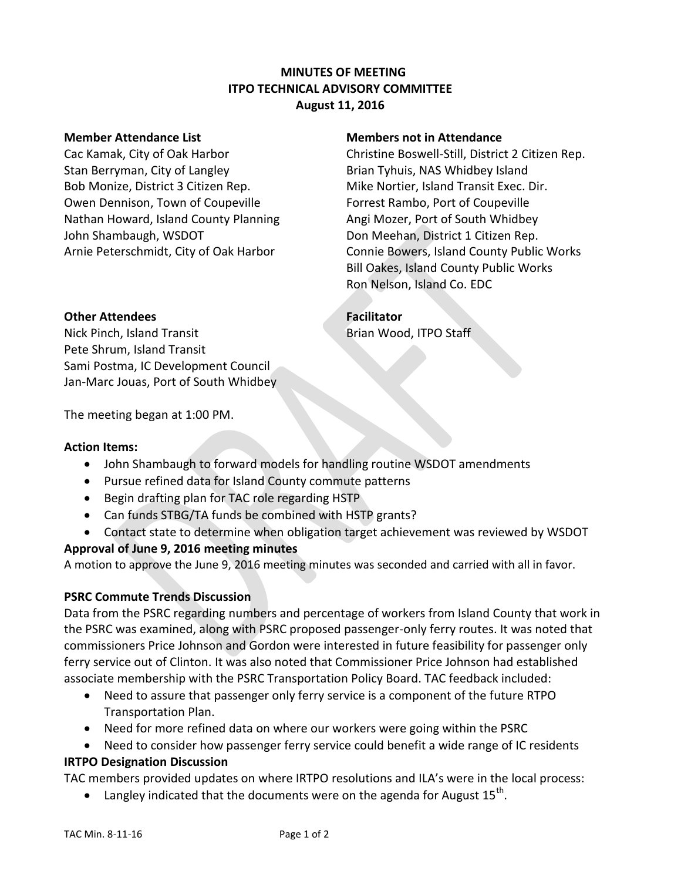## **MINUTES OF MEETING ITPO TECHNICAL ADVISORY COMMITTEE August 11, 2016**

Stan Berryman, City of Langley **Brian Tyhuis, NAS Whidbey Island** Bob Monize, District 3 Citizen Rep. Mike Nortier, Island Transit Exec. Dir. Owen Dennison, Town of Coupeville Forrest Rambo, Port of Coupeville Nathan Howard, Island County Planning Angi Mozer, Port of South Whidbey John Shambaugh, WSDOT Don Meehan, District 1 Citizen Rep.

#### **Member Attendance List Members not in Attendance**

Cac Kamak, City of Oak Harbor Christine Boswell-Still, District 2 Citizen Rep. Arnie Peterschmidt, City of Oak Harbor Connie Bowers, Island County Public Works Bill Oakes, Island County Public Works Ron Nelson, Island Co. EDC

# **Other Attendees Facilitator**

Nick Pinch, Island Transit Brian Wood, ITPO Staff Pete Shrum, Island Transit Sami Postma, IC Development Council

Jan-Marc Jouas, Port of South Whidbey

The meeting began at 1:00 PM.

## **Action Items:**

- John Shambaugh to forward models for handling routine WSDOT amendments
- Pursue refined data for Island County commute patterns
- Begin drafting plan for TAC role regarding HSTP
- Can funds STBG/TA funds be combined with HSTP grants?
- Contact state to determine when obligation target achievement was reviewed by WSDOT

## **Approval of June 9, 2016 meeting minutes**

A motion to approve the June 9, 2016 meeting minutes was seconded and carried with all in favor.

## **PSRC Commute Trends Discussion**

Data from the PSRC regarding numbers and percentage of workers from Island County that work in the PSRC was examined, along with PSRC proposed passenger-only ferry routes. It was noted that commissioners Price Johnson and Gordon were interested in future feasibility for passenger only ferry service out of Clinton. It was also noted that Commissioner Price Johnson had established associate membership with the PSRC Transportation Policy Board. TAC feedback included:

- Need to assure that passenger only ferry service is a component of the future RTPO Transportation Plan.
- Need for more refined data on where our workers were going within the PSRC
- Need to consider how passenger ferry service could benefit a wide range of IC residents **IRTPO Designation Discussion**

TAC members provided updates on where IRTPO resolutions and ILA's were in the local process:

 $\bullet$  Langley indicated that the documents were on the agenda for August 15<sup>th</sup>.